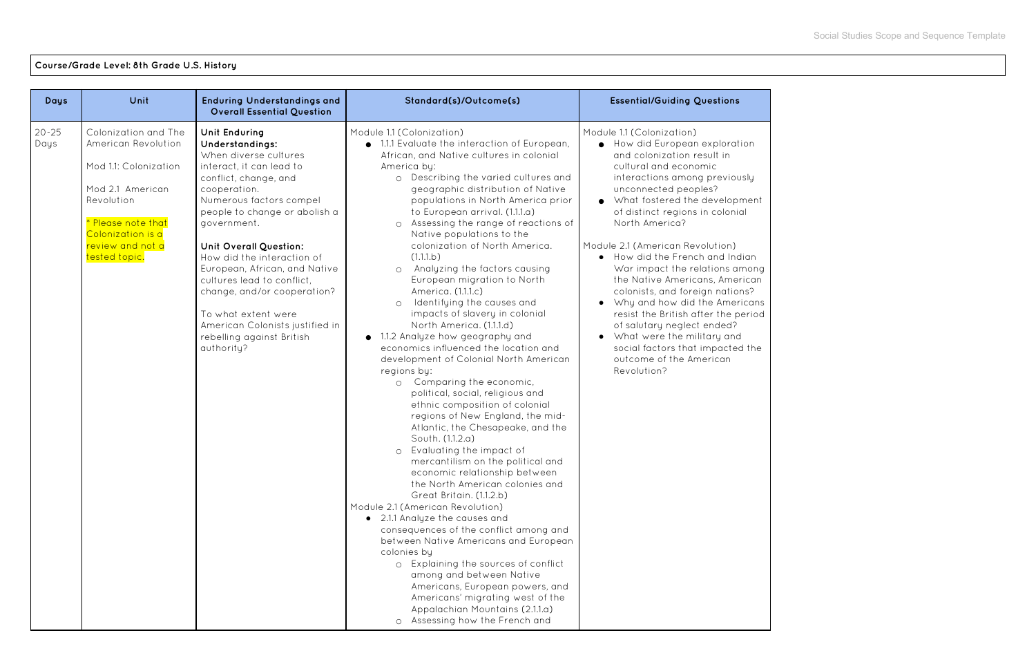

## **Course/Grade Level: 8th Grade U.S. History**

| <b>Days</b>       | Unit                                                                                                                                                                                   | <b>Enduring Understandings and</b><br><b>Overall Essential Question</b>                                                                                                                                                                                                                                                                                                                                                                                                     | Standard(s)/Outcome(s)                                                                                                                                                                                                                                                                                                                                                                                                                                                                                                                                                                                                                                                                                                                                                                                                                                                                                                                                                                                                                                                                                                                                                                                                                                                                                                                                                                                                                                                                                                                                                              | <b>Essential/Guiding Questions</b>                                                                                                                                                                                                                                                                                                                                                                                                                                                                                                                                                                                                                                      |
|-------------------|----------------------------------------------------------------------------------------------------------------------------------------------------------------------------------------|-----------------------------------------------------------------------------------------------------------------------------------------------------------------------------------------------------------------------------------------------------------------------------------------------------------------------------------------------------------------------------------------------------------------------------------------------------------------------------|-------------------------------------------------------------------------------------------------------------------------------------------------------------------------------------------------------------------------------------------------------------------------------------------------------------------------------------------------------------------------------------------------------------------------------------------------------------------------------------------------------------------------------------------------------------------------------------------------------------------------------------------------------------------------------------------------------------------------------------------------------------------------------------------------------------------------------------------------------------------------------------------------------------------------------------------------------------------------------------------------------------------------------------------------------------------------------------------------------------------------------------------------------------------------------------------------------------------------------------------------------------------------------------------------------------------------------------------------------------------------------------------------------------------------------------------------------------------------------------------------------------------------------------------------------------------------------------|-------------------------------------------------------------------------------------------------------------------------------------------------------------------------------------------------------------------------------------------------------------------------------------------------------------------------------------------------------------------------------------------------------------------------------------------------------------------------------------------------------------------------------------------------------------------------------------------------------------------------------------------------------------------------|
| $20 - 25$<br>Days | Colonization and The<br>American Revolution<br>Mod 1.1: Colonization<br>Mod 2.1 American<br>Revolution<br>* Please note that<br>Colonization is a<br>review and not a<br>tested topic. | <b>Unit Enduring</b><br>Understandings:<br>When diverse cultures<br>interact, it can lead to<br>conflict, change, and<br>cooperation.<br>Numerous factors compel<br>people to change or abolish a<br>government.<br>Unit Overall Question:<br>How did the interaction of<br>European, African, and Native<br>cultures lead to conflict,<br>change, and/or cooperation?<br>To what extent were<br>American Colonists justified in<br>rebelling against British<br>authority? | Module 1.1 (Colonization)<br>• 1.1.1 Evaluate the interaction of European,<br>African, and Native cultures in colonial<br>America by:<br>Describing the varied cultures and<br>$\circ$<br>geographic distribution of Native<br>populations in North America prior<br>to European arrival. (1.1.1.a)<br>Assessing the range of reactions of<br>$\bigcirc$<br>Native populations to the<br>colonization of North America.<br>(1.1.1.b)<br>Analyzing the factors causing<br>$\bigcirc$<br>European migration to North<br>America. (1.1.1.c)<br>Identifying the causes and<br>$\bigcirc$<br>impacts of slavery in colonial<br>North America. (1.1.1.d)<br>1.1.2 Analyze how geography and<br>economics influenced the location and<br>development of Colonial North American<br>regions by:<br>Comparing the economic,<br>$\bigcirc$<br>political, social, religious and<br>ethnic composition of colonial<br>regions of New England, the mid-<br>Atlantic, the Chesapeake, and the<br>South. (1.1.2.a)<br>Evaluating the impact of<br>$\bigcirc$<br>mercantilism on the political and<br>economic relationship between<br>the North American colonies and<br>Great Britain. (1.1.2.b)<br>Module 2.1 (American Revolution)<br>• 2.1.1 Analyze the causes and<br>consequences of the conflict among and<br>between Native Americans and European<br>colonies by<br>o Explaining the sources of conflict<br>among and between Native<br>Americans, European powers, and<br>Americans' migrating west of the<br>Appalachian Mountains (2.1.1.a)<br>Assessing how the French and<br>$\circ$ | Module 1.1 (Colonization)<br>• How did European exploration<br>and colonization result in<br>cultural and economic<br>interactions among previously<br>unconnected peoples?<br>• What fostered the development<br>of distinct regions in colonial<br>North America?<br>Module 2.1 (American Revolution)<br>• How did the French and Indian<br>War impact the relations among<br>the Native Americans, American<br>colonists, and foreign nations?<br>• Why and how did the Americans<br>resist the British after the period<br>of salutary neglect ended?<br>• What were the military and<br>social factors that impacted the<br>outcome of the American<br>Revolution? |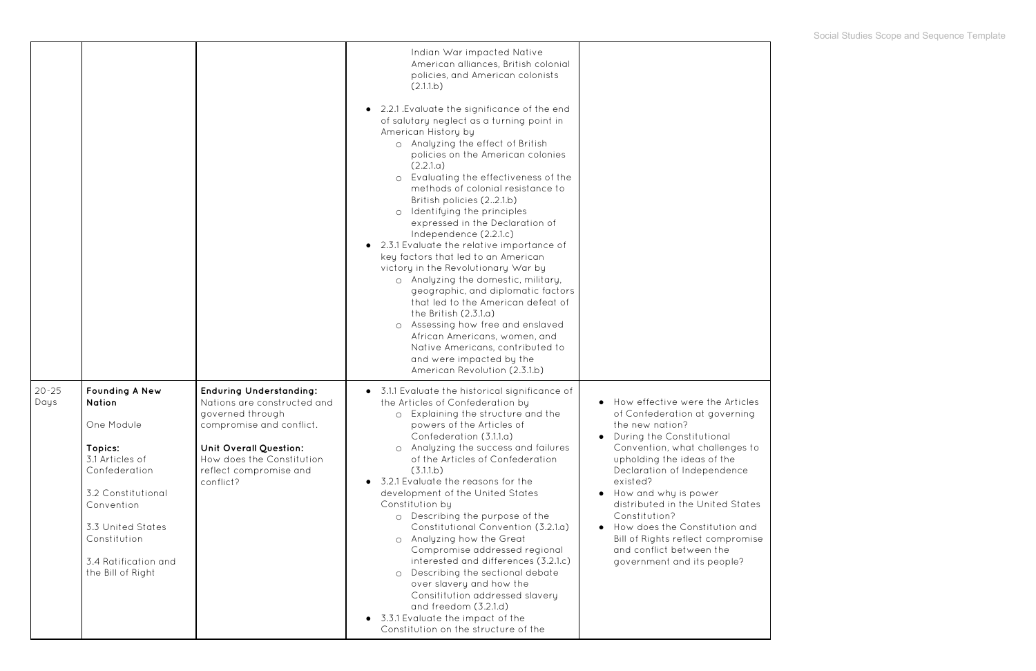|                   |                                                                                                                                                                                                                           |                                                                                                                                                                                                             | Indian War impacted Native<br>American alliances, British colonial<br>policies, and American colonists<br>(2.1.1.b)<br>2.2.1 Evaluate the significance of the end<br>$\bullet$<br>of salutary neglect as a turning point in<br>American History by<br>o Analyzing the effect of British<br>policies on the American colonies<br>(2.2.1.a)<br>o Evaluating the effectiveness of the<br>methods of colonial resistance to<br>British policies (22.1.b)<br>Identifying the principles<br>$\bigcirc$<br>expressed in the Declaration of<br>Independence (2.2.1.c)<br>2.3.1 Evaluate the relative importance of<br>key factors that led to an American<br>victory in the Revolutionary War by<br>o Analyzing the domestic, military,<br>geographic, and diplomatic factors<br>that led to the American defeat of<br>the British $(2.3.1.a)$<br>Assessing how free and enslaved<br>$\bigcirc$<br>African Americans, women, and<br>Native Americans, contributed to<br>and were impacted by the<br>American Revolution (2.3.1.b) |                                                                                                                                                                                                                                                                                                                                                                                                                                            |
|-------------------|---------------------------------------------------------------------------------------------------------------------------------------------------------------------------------------------------------------------------|-------------------------------------------------------------------------------------------------------------------------------------------------------------------------------------------------------------|---------------------------------------------------------------------------------------------------------------------------------------------------------------------------------------------------------------------------------------------------------------------------------------------------------------------------------------------------------------------------------------------------------------------------------------------------------------------------------------------------------------------------------------------------------------------------------------------------------------------------------------------------------------------------------------------------------------------------------------------------------------------------------------------------------------------------------------------------------------------------------------------------------------------------------------------------------------------------------------------------------------------------|--------------------------------------------------------------------------------------------------------------------------------------------------------------------------------------------------------------------------------------------------------------------------------------------------------------------------------------------------------------------------------------------------------------------------------------------|
| $20 - 25$<br>Days | <b>Founding A New</b><br><b>Nation</b><br>One Module<br>Topics:<br>3.1 Articles of<br>Confederation<br>3.2 Constitutional<br>Convention<br>3.3 United States<br>Constitution<br>3.4 Ratification and<br>the Bill of Right | <b>Enduring Understanding:</b><br>Nations are constructed and<br>governed through<br>compromise and conflict.<br>Unit Overall Question:<br>How does the Constitution<br>reflect compromise and<br>conflict? | • 3.1.1 Evaluate the historical significance of<br>the Articles of Confederation by<br>o Explaining the structure and the<br>powers of the Articles of<br>Confederation (3.1.1.a)<br>Analyzing the success and failures<br>$\bigcirc$<br>of the Articles of Confederation<br>(3.1.1.b)<br>3.2.1 Evaluate the reasons for the<br>$\bullet$<br>development of the United States<br>Constitution by<br>o Describing the purpose of the<br>Constitutional Convention (3.2.1.a)<br>Analyzing how the Great<br>$\bigcirc$<br>Compromise addressed regional<br>interested and differences (3.2.1.c)<br>Describing the sectional debate<br>$\bigcirc$<br>over slavery and how the<br>Consititution addressed slavery<br>and freedom (3.2.1.d)<br>• 3.3.1 Evaluate the impact of the<br>Constitution on the structure of the                                                                                                                                                                                                       | How effective were the Articles<br>of Confederation at governing<br>the new nation?<br>During the Constitutional<br>Convention, what challenges to<br>upholding the ideas of the<br>Declaration of Independence<br>existed?<br>How and why is power<br>distributed in the United States<br>Constitution?<br>• How does the Constitution and<br>Bill of Rights reflect compromise<br>and conflict between the<br>government and its people? |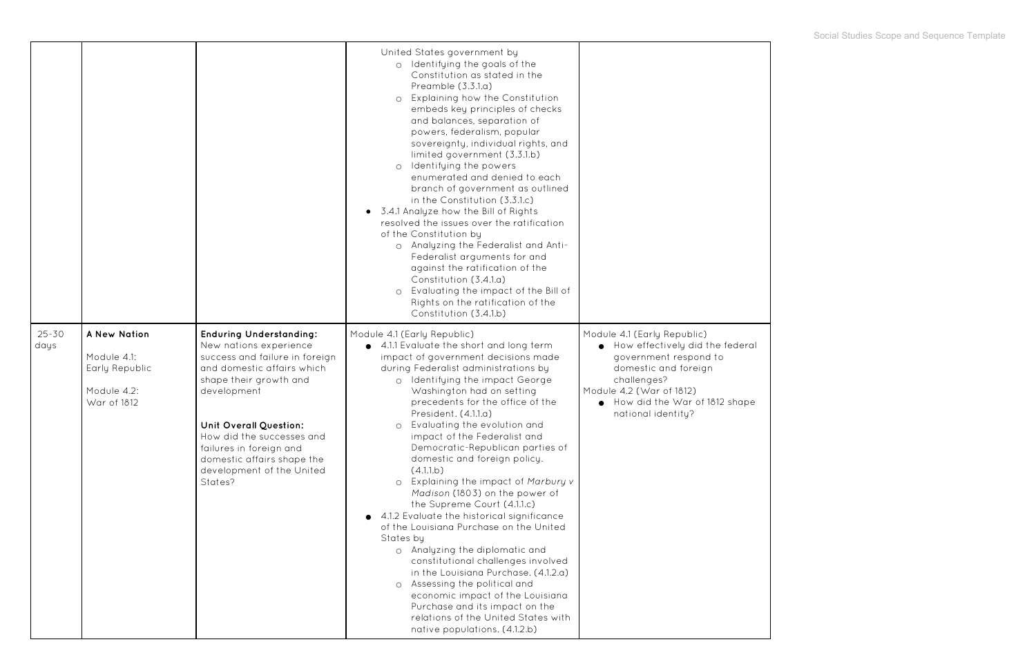|                   |                                                                                    |                                                                                                                                                                                                                                                                                                                           | United States government by<br>Identifying the goals of the<br>$\bigcirc$<br>Constitution as stated in the<br>Preamble $(3.3.1.a)$<br>Explaining how the Constitution<br>$\circ$<br>embeds key principles of checks<br>and balances, separation of<br>powers, federalism, popular<br>sovereignty, individual rights, and<br>limited government (3.3.1.b)<br>Identifying the powers<br>$\bigcirc$<br>enumerated and denied to each<br>branch of government as outlined<br>in the Constitution (3.3.1.c)<br>• 3.4.1 Analyze how the Bill of Rights<br>resolved the issues over the ratification<br>of the Constitution by<br>Analyzing the Federalist and Anti-<br>$\bigcirc$<br>Federalist arguments for and<br>against the ratification of the<br>Constitution (3.4.1.a)<br>Evaluating the impact of the Bill of<br>$\bigcirc$<br>Rights on the ratification of the<br>Constitution (3.4.1.b)                                                                           |                                                                                                                                                                                                                     |
|-------------------|------------------------------------------------------------------------------------|---------------------------------------------------------------------------------------------------------------------------------------------------------------------------------------------------------------------------------------------------------------------------------------------------------------------------|-------------------------------------------------------------------------------------------------------------------------------------------------------------------------------------------------------------------------------------------------------------------------------------------------------------------------------------------------------------------------------------------------------------------------------------------------------------------------------------------------------------------------------------------------------------------------------------------------------------------------------------------------------------------------------------------------------------------------------------------------------------------------------------------------------------------------------------------------------------------------------------------------------------------------------------------------------------------------|---------------------------------------------------------------------------------------------------------------------------------------------------------------------------------------------------------------------|
| $25 - 30$<br>days | <b>A New Nation</b><br>Module 4.1:<br>Early Republic<br>Module 4.2:<br>War of 1812 | <b>Enduring Understanding:</b><br>New nations experience<br>success and failure in foreign<br>and domestic affairs which<br>shape their growth and<br>development<br>Unit Overall Question:<br>How did the successes and<br>failures in foreign and<br>domestic affairs shape the<br>development of the United<br>States? | Module 4.1 (Early Republic)<br>● 4.1.1 Evaluate the short and long term<br>impact of government decisions made<br>during Federalist administrations by<br>Identifying the impact George<br>$\bigcirc$<br>Washington had on setting<br>precedents for the office of the<br>President. (4.1.1.a)<br>Evaluating the evolution and<br>impact of the Federalist and<br>Democratic-Republican parties of<br>domestic and foreign policy.<br>(4.1.1.b)<br>Explaining the impact of Marbury v<br>Madison (1803) on the power of<br>the Supreme Court (4.1.1.c)<br>4.1.2 Evaluate the historical significance<br>of the Louisiana Purchase on the United<br>States by<br>o Analyzing the diplomatic and<br>constitutional challenges involved<br>in the Louisiana Purchase. (4.1.2.a)<br>Assessing the political and<br>$\bigcirc$<br>economic impact of the Louisiana<br>Purchase and its impact on the<br>relations of the United States with<br>native populations. (4.1.2.b) | Module 4.1 (Early Republic)<br>• How effectively did the federal<br>government respond to<br>domestic and foreign<br>challenges?<br>Module 4.2 (War of 1812)<br>How did the War of 1812 shape<br>national identity? |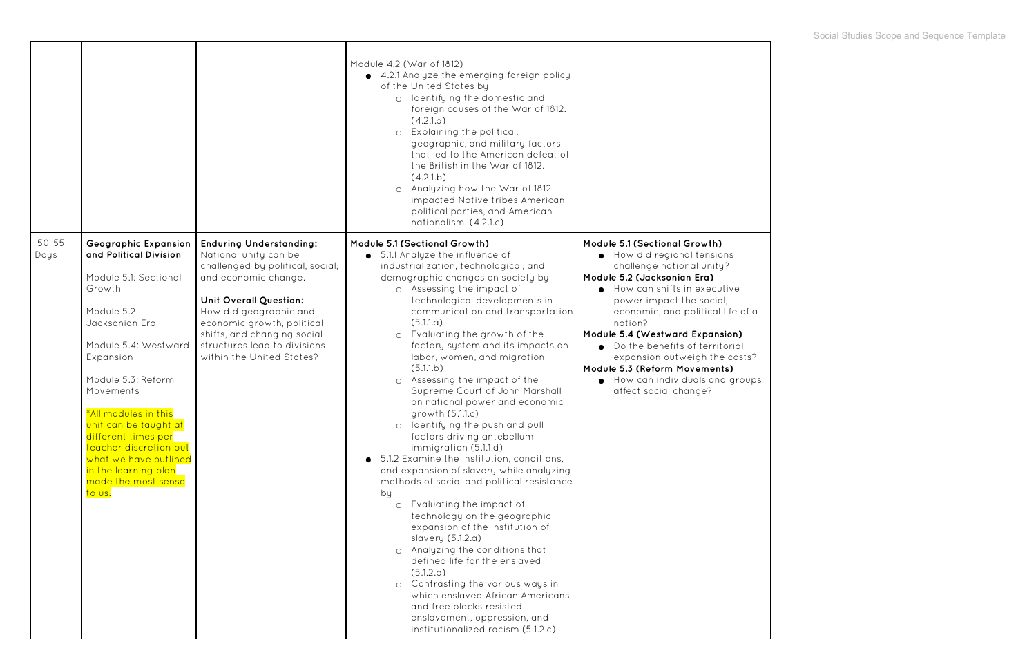|                   |                                                                                                                                                                                                                                                                                                                                                                                |                                                                                                                                                                                                                                                                                                   | Module 4.2 (War of 1812)<br>• 4.2.1 Analyze the emerging foreign policy<br>of the United States by<br>Identifying the domestic and<br>$\circ$<br>foreign causes of the War of 1812.<br>(4.2.1a)<br>Explaining the political,<br>$\bigcirc$<br>geographic, and military factors<br>that led to the American defeat of<br>the British in the War of 1812.<br>(4.2.1.b)<br>Analyzing how the War of 1812<br>$\bigcirc$<br>impacted Native tribes American<br>political parties, and American<br>nationalism. (4.2.1.c)                                                                                                                                                                                                                                                                                                                                                                                                                                                                                                                                                                                                                                                                          |                                                                                                                                                                                                                                                                                                                                                                                                                                           |
|-------------------|--------------------------------------------------------------------------------------------------------------------------------------------------------------------------------------------------------------------------------------------------------------------------------------------------------------------------------------------------------------------------------|---------------------------------------------------------------------------------------------------------------------------------------------------------------------------------------------------------------------------------------------------------------------------------------------------|----------------------------------------------------------------------------------------------------------------------------------------------------------------------------------------------------------------------------------------------------------------------------------------------------------------------------------------------------------------------------------------------------------------------------------------------------------------------------------------------------------------------------------------------------------------------------------------------------------------------------------------------------------------------------------------------------------------------------------------------------------------------------------------------------------------------------------------------------------------------------------------------------------------------------------------------------------------------------------------------------------------------------------------------------------------------------------------------------------------------------------------------------------------------------------------------|-------------------------------------------------------------------------------------------------------------------------------------------------------------------------------------------------------------------------------------------------------------------------------------------------------------------------------------------------------------------------------------------------------------------------------------------|
| $50 - 55$<br>Days | Geographic Expansion<br>and Political Division<br>Module 5.1: Sectional<br>Growth<br>Module 5.2:<br>Jacksonian Era<br>Module 5.4: Westward<br>Expansion<br>Module 5.3: Reform<br>Movements<br>*All modules in this<br>unit can be taught at<br>different times per<br>teacher discretion but<br>what we have outlined<br>in the learning plan<br>made the most sense<br>to us. | <b>Enduring Understanding:</b><br>National unity can be<br>challenged by political, social,<br>and economic change.<br>Unit Overall Question:<br>How did geographic and<br>economic growth, political<br>shifts, and changing social<br>structures lead to divisions<br>within the United States? | Module 5.1 (Sectional Growth)<br>• 5.1.1 Analyze the influence of<br>industrialization, technological, and<br>demographic changes on society by<br>o Assessing the impact of<br>technological developments in<br>communication and transportation<br>(5.1.1.a)<br>Evaluating the growth of the<br>$\circ$<br>factory system and its impacts on<br>labor, women, and migration<br>(5.1.1.b)<br>Assessing the impact of the<br>$\bigcirc$<br>Supreme Court of John Marshall<br>on national power and economic<br>growth $(5.1.1.c)$<br>Identifying the push and pull<br>factors driving antebellum<br>immigration (5.1.1.d)<br>• 5.1.2 Examine the institution, conditions,<br>and expansion of slavery while analyzing<br>methods of social and political resistance<br>by<br>Evaluating the impact of<br>$\circ$<br>technology on the geographic<br>expansion of the institution of<br>slavery (5.1.2.a)<br>Analyzing the conditions that<br>$\bigcirc$<br>defined life for the enslaved<br>(5.1.2.b)<br>Contrasting the various ways in<br>$\bigcirc$<br>which enslaved African Americans<br>and free blacks resisted<br>enslavement, oppression, and<br>institutionalized racism (5.1.2.c) | Module 5.1 (Sectional Growth)<br>• How did regional tensions<br>challenge national unity?<br>Module 5.2 (Jacksonian Era)<br>• How can shifts in executive<br>power impact the social,<br>economic, and political life of a<br>nation?<br>Module 5.4 (Westward Expansion)<br>• Do the benefits of territorial<br>expansion outweigh the costs?<br>Module 5.3 (Reform Movements)<br>How can individuals and groups<br>affect social change? |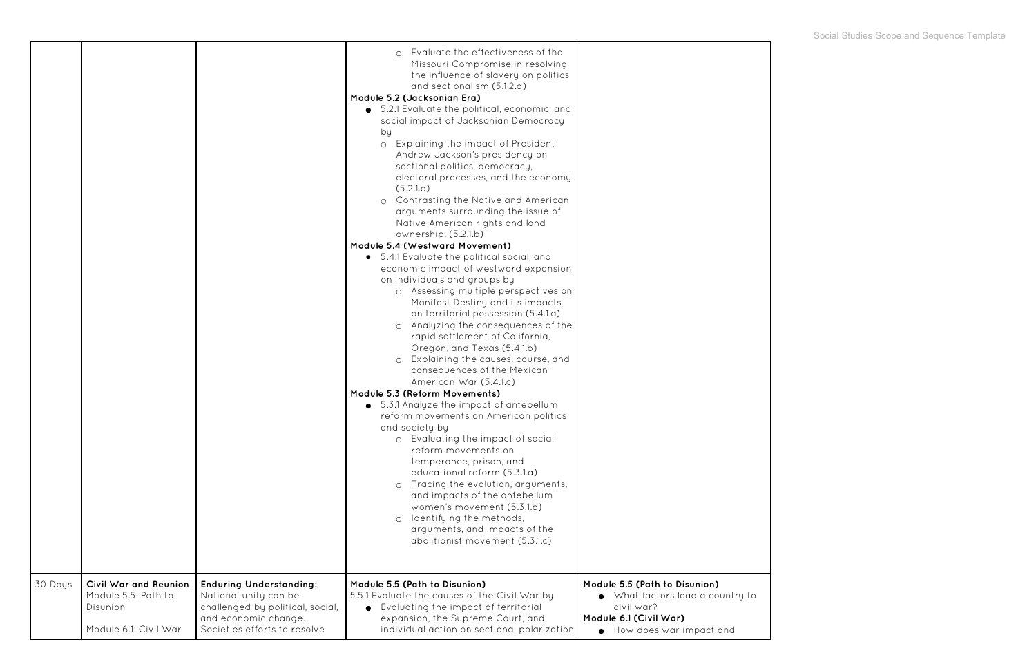|         |                                                                                          |                                                                                                                                                     | Evaluate the effectiveness of the<br>Missouri Compromise in resolving<br>the influence of slavery on politics<br>and sectionalism (5.1.2.d)<br>Module 5.2 (Jacksonian Era)<br>• 5.2.1 Evaluate the political, economic, and<br>social impact of Jacksonian Democracy<br>by<br>Explaining the impact of President<br>$\circ$<br>Andrew Jackson's presidency on<br>sectional politics, democracy,<br>electoral processes, and the economy.<br>(5.2.1.a)<br>Contrasting the Native and American<br>$\circ$<br>arguments surrounding the issue of<br>Native American rights and land<br>ownership. (5.2.1.b)<br>Module 5.4 (Westward Movement)<br>• 5.4.1 Evaluate the political social, and<br>economic impact of westward expansion<br>on individuals and groups by<br>o Assessing multiple perspectives on<br>Manifest Destiny and its impacts<br>on territorial possession (5.4.1.a)<br>Analyzing the consequences of the<br>$\bigcirc$<br>rapid settlement of California,<br>Oregon, and Texas (5.4.1.b)<br>Explaining the causes, course, and<br>$\bigcirc$<br>consequences of the Mexican-<br>American War (5.4.1.c)<br>Module 5.3 (Reform Movements)<br>• 5.3.1 Analyze the impact of antebellum<br>reform movements on American politics<br>and society by<br>o Evaluating the impact of social<br>reform movements on<br>temperance, prison, and<br>educational reform (5.3.1.a)<br>Tracing the evolution, arguments,<br>$\circ$<br>and impacts of the antebellum<br>women's movement (5.3.1.b)<br>Identifying the methods,<br>$\bigcirc$<br>arguments, and impacts of the<br>abolitionist movement (5.3.1.c) |                                                                                                                                                |
|---------|------------------------------------------------------------------------------------------|-----------------------------------------------------------------------------------------------------------------------------------------------------|---------------------------------------------------------------------------------------------------------------------------------------------------------------------------------------------------------------------------------------------------------------------------------------------------------------------------------------------------------------------------------------------------------------------------------------------------------------------------------------------------------------------------------------------------------------------------------------------------------------------------------------------------------------------------------------------------------------------------------------------------------------------------------------------------------------------------------------------------------------------------------------------------------------------------------------------------------------------------------------------------------------------------------------------------------------------------------------------------------------------------------------------------------------------------------------------------------------------------------------------------------------------------------------------------------------------------------------------------------------------------------------------------------------------------------------------------------------------------------------------------------------------------------------------------------------------------------------------------------------------|------------------------------------------------------------------------------------------------------------------------------------------------|
| 30 Days | <b>Civil War and Reunion</b><br>Module 5.5: Path to<br>Disunion<br>Module 6.1: Civil War | <b>Enduring Understanding:</b><br>National unity can be<br>challenged by political, social,<br>and economic change.<br>Societies efforts to resolve | Module 5.5 (Path to Disunion)<br>5.5.1 Evaluate the causes of the Civil War by<br>Evaluating the impact of territorial<br>expansion, the Supreme Court, and<br>individual action on sectional polarization                                                                                                                                                                                                                                                                                                                                                                                                                                                                                                                                                                                                                                                                                                                                                                                                                                                                                                                                                                                                                                                                                                                                                                                                                                                                                                                                                                                                          | Module 5.5 (Path to Disunion)<br>$\bullet$ What factors lead a country to<br>civil war?<br>Module 6.1 (Civil War)<br>• How does war impact and |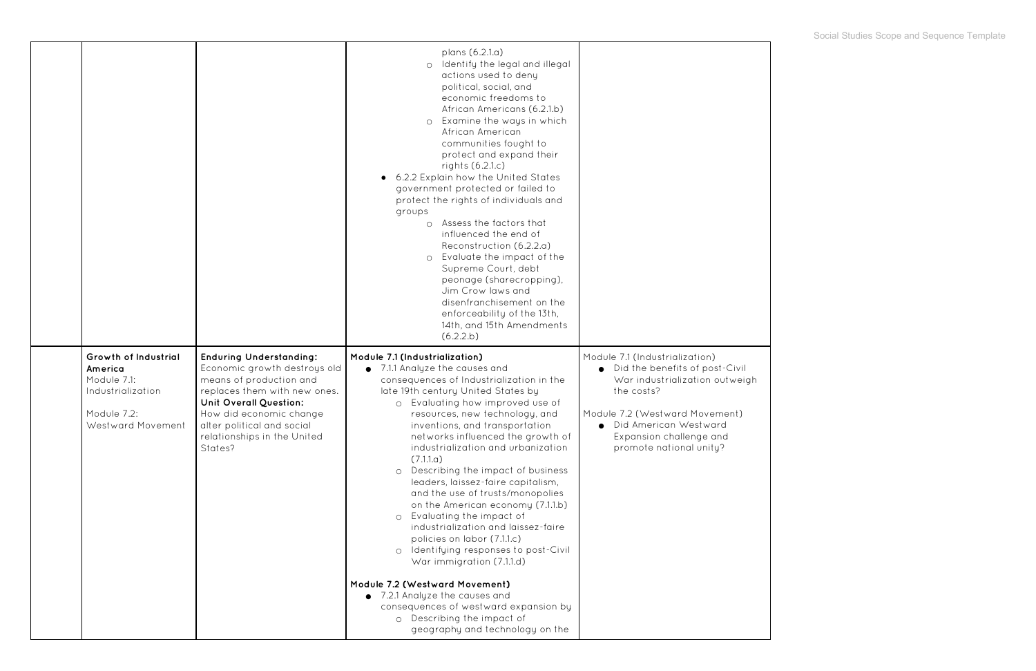|                                                                                                         |                                                                                                                                                                                                                                                        | plans (6.2.1.a)<br>o Identify the legal and illegal<br>actions used to deny<br>political, social, and<br>economic freedoms to<br>African Americans (6.2.1.b)<br>Examine the ways in which<br>$\bigcirc$<br>African American<br>communities fought to<br>protect and expand their<br>rights (6.2.1.c)<br>• 6.2.2 Explain how the United States<br>government protected or failed to<br>protect the rights of individuals and<br>groups<br>Assess the factors that<br>$\bigcap$<br>influenced the end of<br>Reconstruction (6.2.2.a)<br>Evaluate the impact of the<br>$\bigcirc$<br>Supreme Court, debt<br>peonage (sharecropping),<br>Jim Crow laws and<br>disenfranchisement on the<br>enforceability of the 13th,<br>14th, and 15th Amendments<br>(6.2.2.b)                                                                                                                           |                                                                                                                                                                                                                                     |
|---------------------------------------------------------------------------------------------------------|--------------------------------------------------------------------------------------------------------------------------------------------------------------------------------------------------------------------------------------------------------|----------------------------------------------------------------------------------------------------------------------------------------------------------------------------------------------------------------------------------------------------------------------------------------------------------------------------------------------------------------------------------------------------------------------------------------------------------------------------------------------------------------------------------------------------------------------------------------------------------------------------------------------------------------------------------------------------------------------------------------------------------------------------------------------------------------------------------------------------------------------------------------|-------------------------------------------------------------------------------------------------------------------------------------------------------------------------------------------------------------------------------------|
| Growth of Industrial<br>America<br>Module 7.1:<br>Industrialization<br>Module 7.2:<br>Westward Movement | <b>Enduring Understanding:</b><br>Economic growth destroys old<br>means of production and<br>replaces them with new ones.<br>Unit Overall Question:<br>How did economic change<br>alter political and social<br>relationships in the United<br>States? | Module 7.1 (Industrialization)<br>• 7.1.1 Analyze the causes and<br>consequences of Industrialization in the<br>late 19th century United States by<br>Evaluating how improved use of<br>resources, new technology, and<br>inventions, and transportation<br>networks influenced the growth of<br>industrialization and urbanization<br>(7.1.1.a)<br>Describing the impact of business<br>$\bigcirc$<br>leaders, laissez-faire capitalism,<br>and the use of trusts/monopolies<br>on the American economy (7.1.1.b)<br>Evaluating the impact of<br>$\bigcirc$<br>industrialization and laissez-faire<br>policies on labor (7.1.1.c)<br>o Identifying responses to post-Civil<br>War immigration (7.1.1.d)<br>Module 7.2 (Westward Movement)<br>• 7.2.1 Analyze the causes and<br>consequences of westward expansion by<br>o Describing the impact of<br>geography and technology on the | Module 7.1 (Industrialization)<br>• Did the benefits of post-Civil<br>War industrialization outweigh<br>the costs?<br>Module 7.2 (Westward Movement)<br>Did American Westward<br>Expansion challenge and<br>promote national unity? |